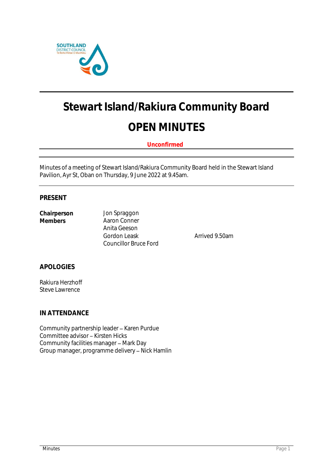

# **Stewart Island/Rakiura Community Board OPEN MINUTES**

**Unconfirmed**

Minutes of a meeting of Stewart Island/Rakiura Community Board held in the Stewart Island Pavilion, Ayr St, Oban on Thursday, 9 June 2022 at 9.45am.

#### **PRESENT**

| Chairperson |  |
|-------------|--|
| Members     |  |

**Chairperson** Jon Spraggon **Aaron Conner** Anita Geeson Gordon Leask **Arrived 9.50am** Councillor Bruce Ford

**APOLOGIES**

Rakiura Herzhoff Steve Lawrence

**IN ATTENDANCE**

Community partnership leader - Karen Purdue Committee advisor - Kirsten Hicks Community facilities manager - Mark Day Group manager, programme delivery - Nick Hamlin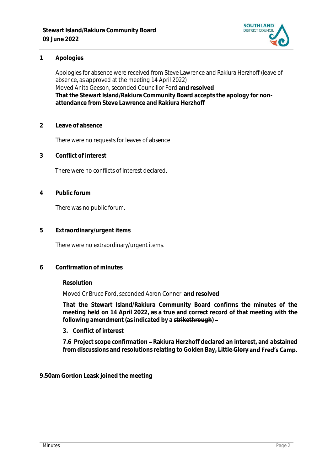

#### **1 Apologies**

Apologies for absence were received from Steve Lawrence and Rakiura Herzhoff (leave of absence, as approved at the meeting 14 April 2022) Moved Anita Geeson, seconded Councillor Ford **and resolved That the Stewart Island/Rakiura Community Board accepts the apology for nonattendance from Steve Lawrence and Rakiura Herzhoff**

**2 Leave of absence** 

There were no requests for leaves of absence

**3 Conflict of interest**

There were no conflicts of interest declared.

**4 Public forum**

There was no public forum.

**5 Extraordinary/urgent items**

There were no extraordinary/urgent items.

**6 Confirmation of minutes**

**Resolution**

Moved Cr Bruce Ford, seconded Aaron Conner **and resolved**

**That the Stewart Island/Rakiura Community Board confirms the minutes of the meeting held on 14 April 2022, as a true and correct record of that meeting with the following amendment (as indicated by a strikethrough)** 

**3. Conflict of interest**

7.6 Project scope confirmation - Rakiura Herzhoff declared an interest, and abstained from discussions and resolutions relating to Golden Bay, Little Glory and Fred's Camp.

**9.50am Gordon Leask joined the meeting**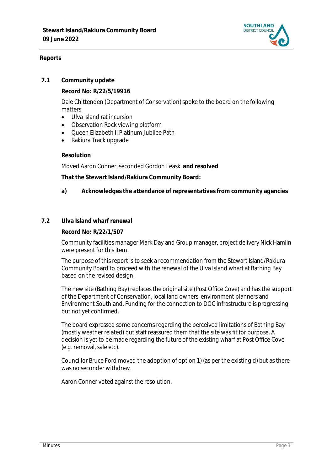

### **Reports**

#### **7.1 Community update**

**Record No: R/22/5/19916**

Dale Chittenden (Department of Conservation) spoke to the board on the following matters:

- Ulva Island rat incursion
- Observation Rock viewing platform
- Queen Elizabeth II Platinum Jubilee Path
- Rakiura Track upgrade

#### **Resolution**

Moved Aaron Conner, seconded Gordon Leask **and resolved**

**That the Stewart Island/Rakiura Community Board:**

- **a) Acknowledges the attendance of representatives from community agencies**
- **7.2 Ulva Island wharf renewal**

**Record No: R/22/1/507**

Community facilities manager Mark Day and Group manager, project delivery Nick Hamlin were present for this item.

The purpose of this report is to seek a recommendation from the Stewart Island/Rakiura Community Board to proceed with the renewal of the Ulva Island wharf at Bathing Bay based on the revised design.

The new site (Bathing Bay) replaces the original site (Post Office Cove) and has the support of the Department of Conservation, local land owners, environment planners and Environment Southland. Funding for the connection to DOC infrastructure is progressing but not yet confirmed.

The board expressed some concerns regarding the perceived limitations of Bathing Bay (mostly weather related) but staff reassured them that the site was fit for purpose. A decision is yet to be made regarding the future of the existing wharf at Post Office Cove (e.g. removal, sale etc).

Councillor Bruce Ford moved the adoption of option 1) (as per the existing d) but as there was no seconder withdrew.

Aaron Conner voted against the resolution.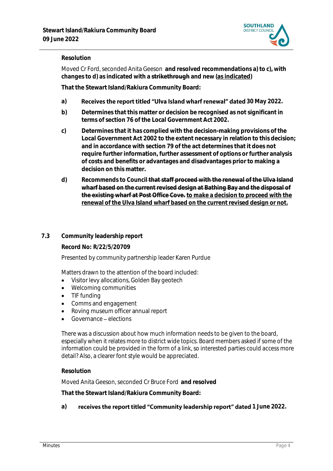

#### **Resolution**

Moved Cr Ford, seconded Anita Geeson **and resolved recommendations a) to c), with changes to d) as indicated with a strikethrough and new (as indicated)**

**That the Stewart Island/Rakiura Community Board:**

- a) **Receives the report titled "Ulva Island wharf renewal" dated 30 May 2022.**
- **b) Determines that this matter or decision be recognised as not significant in terms of section 76 of the Local Government Act 2002.**
- **c) Determines that it has complied with the decision-making provisions of the Local Government Act 2002 to the extent necessary in relation to this decision; and in accordance with section 79 of the act determines that it does not require further information, further assessment of options or further analysis of costs and benefits or advantages and disadvantages prior to making a decision on this matter.**
- **d) Recommends to Council that staff proceed with the renewal of the Ulva Island wharf based on the current revised design at Bathing Bay and the disposal of the existing wharf at Post Office Cove. to make a decision to proceed with the renewal of the Ulva Island wharf based on the current revised design or not.**

#### **7.3 Community leadership report**

**Record No: R/22/5/20709**

Presented by community partnership leader Karen Purdue

Matters drawn to the attention of the board included:

- Visitor levy allocations, Golden Bay geotech
- Welcoming communities
- TIF funding
- Comms and engagement
- Roving museum officer annual report
- Governance elections

There was a discussion about how much information needs to be given to the board, especially when it relates more to district wide topics. Board members asked if some of the information could be provided in the form of a link, so interested parties could access more detail? Also, a clearer font style would be appreciated.

#### **Resolution**

Moved Anita Geeson, seconded Cr Bruce Ford **and resolved**

**That the Stewart Island/Rakiura Community Board:**

#### a) **receives the report titled "Community leadership report" dated 1 June 2022.**